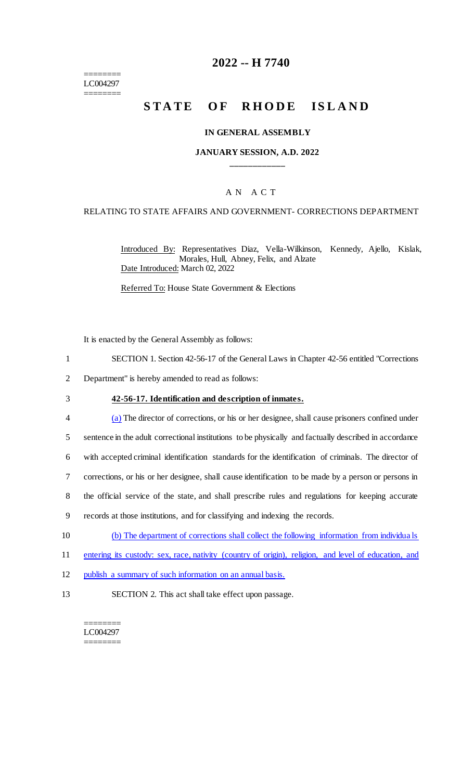======== LC004297 ========

# **2022 -- H 7740**

# **STATE OF RHODE ISLAND**

#### **IN GENERAL ASSEMBLY**

#### **JANUARY SESSION, A.D. 2022 \_\_\_\_\_\_\_\_\_\_\_\_**

## A N A C T

#### RELATING TO STATE AFFAIRS AND GOVERNMENT- CORRECTIONS DEPARTMENT

Introduced By: Representatives Diaz, Vella-Wilkinson, Kennedy, Ajello, Kislak, Morales, Hull, Abney, Felix, and Alzate Date Introduced: March 02, 2022

Referred To: House State Government & Elections

It is enacted by the General Assembly as follows:

- 1 SECTION 1. Section 42-56-17 of the General Laws in Chapter 42-56 entitled "Corrections
- 2 Department" is hereby amended to read as follows:
- 
- 3 **42-56-17. Identification and description of inmates.**
- 4 (a) The director of corrections, or his or her designee, shall cause prisoners confined under 5 sentence in the adult correctional institutions to be physically and factually described in accordance
- 6 with accepted criminal identification standards for the identification of criminals. The director of
- 7 corrections, or his or her designee, shall cause identification to be made by a person or persons in
- 8 the official service of the state, and shall prescribe rules and regulations for keeping accurate
- 9 records at those institutions, and for classifying and indexing the records.
- 10 (b) The department of corrections shall collect the following information from individua ls
- 11 entering its custody: sex, race, nativity (country of origin), religion, and level of education, and
- 12 publish a summary of such information on an annual basis.
- 13 SECTION 2. This act shall take effect upon passage.

======== LC004297 ========